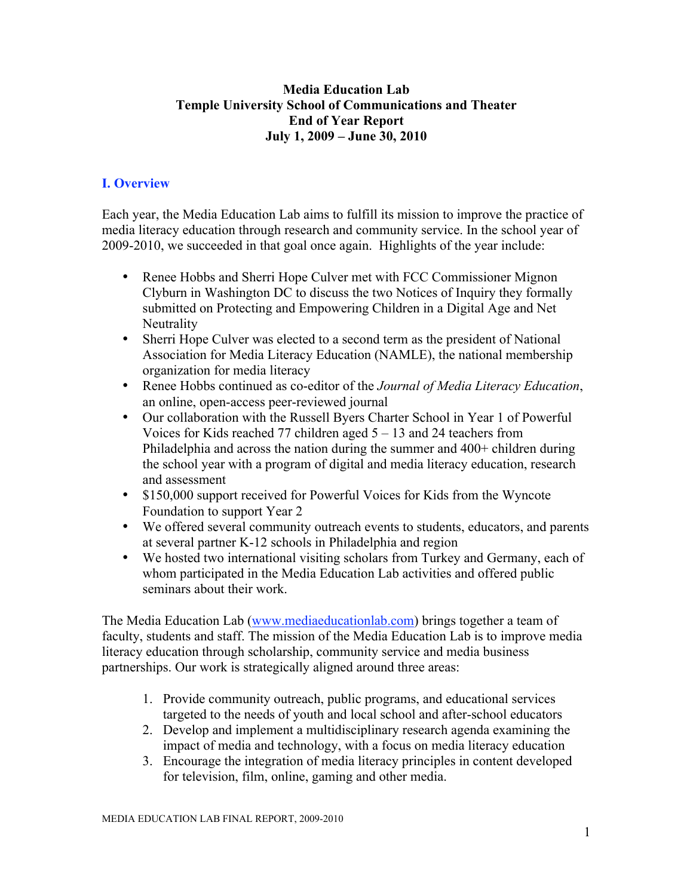## **Media Education Lab Temple University School of Communications and Theater End of Year Report July 1, 2009 – June 30, 2010**

# **I. Overview**

Each year, the Media Education Lab aims to fulfill its mission to improve the practice of media literacy education through research and community service. In the school year of 2009-2010, we succeeded in that goal once again. Highlights of the year include:

- Renee Hobbs and Sherri Hope Culver met with FCC Commissioner Mignon Clyburn in Washington DC to discuss the two Notices of Inquiry they formally submitted on Protecting and Empowering Children in a Digital Age and Net **Neutrality**
- Sherri Hope Culver was elected to a second term as the president of National Association for Media Literacy Education (NAMLE), the national membership organization for media literacy
- Renee Hobbs continued as co-editor of the *Journal of Media Literacy Education*, an online, open-access peer-reviewed journal
- Our collaboration with the Russell Byers Charter School in Year 1 of Powerful Voices for Kids reached 77 children aged 5 – 13 and 24 teachers from Philadelphia and across the nation during the summer and 400+ children during the school year with a program of digital and media literacy education, research and assessment
- \$150,000 support received for Powerful Voices for Kids from the Wyncote Foundation to support Year 2
- We offered several community outreach events to students, educators, and parents at several partner K-12 schools in Philadelphia and region
- We hosted two international visiting scholars from Turkey and Germany, each of whom participated in the Media Education Lab activities and offered public seminars about their work.

The Media Education Lab (www.mediaeducationlab.com) brings together a team of faculty, students and staff. The mission of the Media Education Lab is to improve media literacy education through scholarship, community service and media business partnerships. Our work is strategically aligned around three areas:

- 1. Provide community outreach, public programs, and educational services targeted to the needs of youth and local school and after-school educators
- 2. Develop and implement a multidisciplinary research agenda examining the impact of media and technology, with a focus on media literacy education
- 3. Encourage the integration of media literacy principles in content developed for television, film, online, gaming and other media.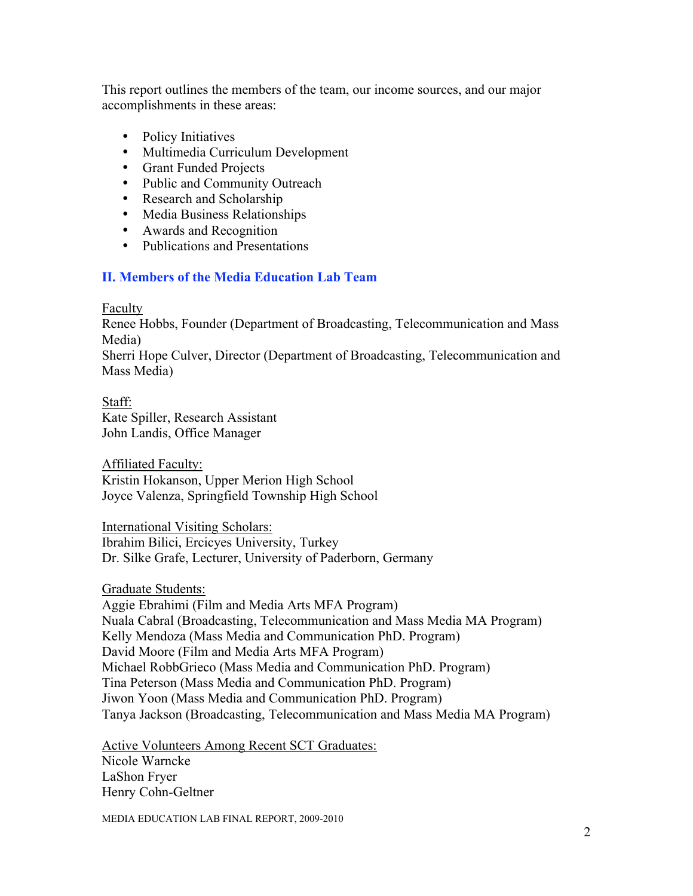This report outlines the members of the team, our income sources, and our major accomplishments in these areas:

- Policy Initiatives
- Multimedia Curriculum Development
- Grant Funded Projects
- Public and Community Outreach
- Research and Scholarship
- Media Business Relationships
- Awards and Recognition
- Publications and Presentations

## **II. Members of the Media Education Lab Team**

Faculty

Renee Hobbs, Founder (Department of Broadcasting, Telecommunication and Mass Media)

Sherri Hope Culver, Director (Department of Broadcasting, Telecommunication and Mass Media)

Staff: Kate Spiller, Research Assistant John Landis, Office Manager

Affiliated Faculty: Kristin Hokanson, Upper Merion High School Joyce Valenza, Springfield Township High School

International Visiting Scholars: Ibrahim Bilici, Ercicyes University, Turkey Dr. Silke Grafe, Lecturer, University of Paderborn, Germany

Graduate Students:

Aggie Ebrahimi (Film and Media Arts MFA Program) Nuala Cabral (Broadcasting, Telecommunication and Mass Media MA Program) Kelly Mendoza (Mass Media and Communication PhD. Program) David Moore (Film and Media Arts MFA Program) Michael RobbGrieco (Mass Media and Communication PhD. Program) Tina Peterson (Mass Media and Communication PhD. Program) Jiwon Yoon (Mass Media and Communication PhD. Program) Tanya Jackson (Broadcasting, Telecommunication and Mass Media MA Program)

Active Volunteers Among Recent SCT Graduates: Nicole Warncke LaShon Fryer Henry Cohn-Geltner

MEDIA EDUCATION LAB FINAL REPORT, 2009-2010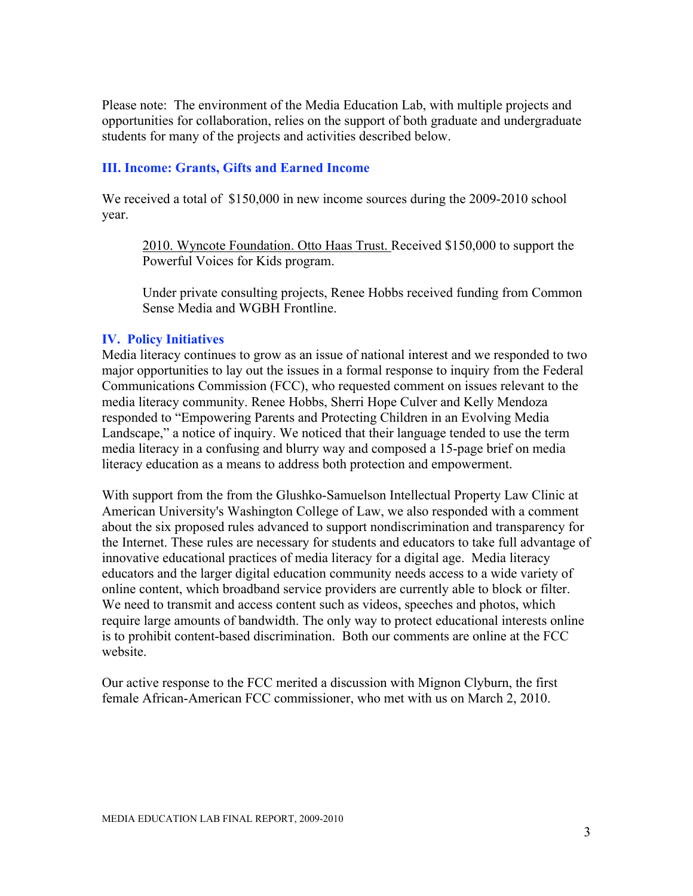Please note: The environment of the Media Education Lab, with multiple projects and opportunities for collaboration, relies on the support of both graduate and undergraduate students for many of the projects and activities described below.

## **III. Income: Grants, Gifts and Earned Income**

We received a total of \$150,000 in new income sources during the 2009-2010 school year.

2010. Wyncote Foundation. Otto Haas Trust. Received \$150,000 to support the Powerful Voices for Kids program.

Under private consulting projects, Renee Hobbs received funding from Common Sense Media and WGBH Frontline.

## **IV. Policy Initiatives**

Media literacy continues to grow as an issue of national interest and we responded to two major opportunities to lay out the issues in a formal response to inquiry from the Federal Communications Commission (FCC), who requested comment on issues relevant to the media literacy community. Renee Hobbs, Sherri Hope Culver and Kelly Mendoza responded to "Empowering Parents and Protecting Children in an Evolving Media Landscape," a notice of inquiry. We noticed that their language tended to use the term media literacy in a confusing and blurry way and composed a 15-page brief on media literacy education as a means to address both protection and empowerment.

With support from the from the Glushko-Samuelson Intellectual Property Law Clinic at American University's Washington College of Law, we also responded with a comment about the six proposed rules advanced to support nondiscrimination and transparency for the Internet. These rules are necessary for students and educators to take full advantage of innovative educational practices of media literacy for a digital age. Media literacy educators and the larger digital education community needs access to a wide variety of online content, which broadband service providers are currently able to block or filter. We need to transmit and access content such as videos, speeches and photos, which require large amounts of bandwidth. The only way to protect educational interests online is to prohibit content-based discrimination. Both our comments are online at the FCC website.

Our active response to the FCC merited a discussion with Mignon Clyburn, the first female African-American FCC commissioner, who met with us on March 2, 2010.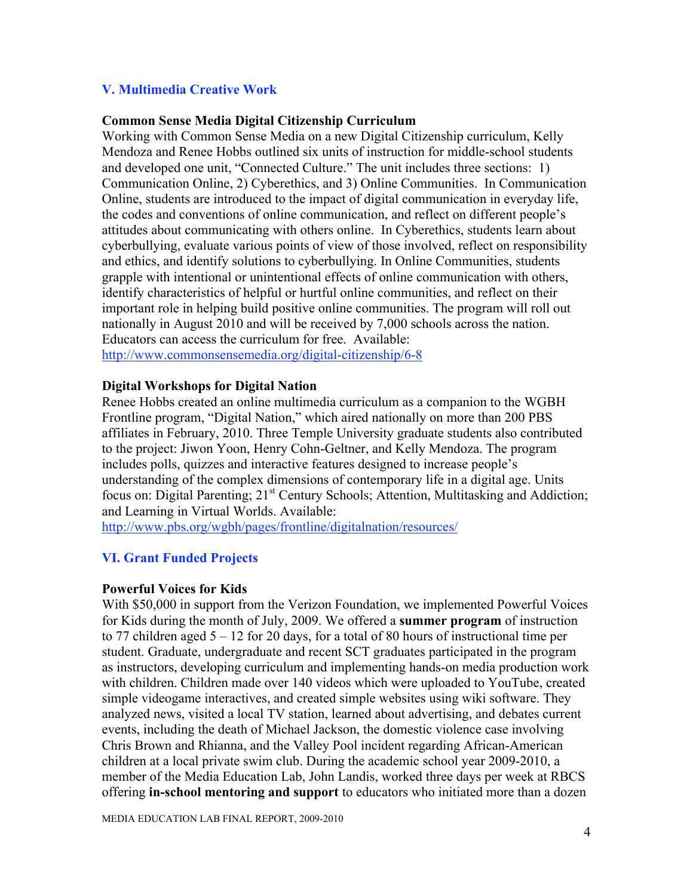## **V. Multimedia Creative Work**

### **Common Sense Media Digital Citizenship Curriculum**

Working with Common Sense Media on a new Digital Citizenship curriculum, Kelly Mendoza and Renee Hobbs outlined six units of instruction for middle-school students and developed one unit, "Connected Culture." The unit includes three sections: 1) Communication Online, 2) Cyberethics, and 3) Online Communities. In Communication Online, students are introduced to the impact of digital communication in everyday life, the codes and conventions of online communication, and reflect on different people's attitudes about communicating with others online. In Cyberethics, students learn about cyberbullying, evaluate various points of view of those involved, reflect on responsibility and ethics, and identify solutions to cyberbullying. In Online Communities, students grapple with intentional or unintentional effects of online communication with others, identify characteristics of helpful or hurtful online communities, and reflect on their important role in helping build positive online communities. The program will roll out nationally in August 2010 and will be received by 7,000 schools across the nation. Educators can access the curriculum for free. Available: http://www.commonsensemedia.org/digital-citizenship/6-8

### **Digital Workshops for Digital Nation**

Renee Hobbs created an online multimedia curriculum as a companion to the WGBH Frontline program, "Digital Nation," which aired nationally on more than 200 PBS affiliates in February, 2010. Three Temple University graduate students also contributed to the project: Jiwon Yoon, Henry Cohn-Geltner, and Kelly Mendoza. The program includes polls, quizzes and interactive features designed to increase people's understanding of the complex dimensions of contemporary life in a digital age. Units focus on: Digital Parenting; 21<sup>st</sup> Century Schools; Attention, Multitasking and Addiction; and Learning in Virtual Worlds. Available:

http://www.pbs.org/wgbh/pages/frontline/digitalnation/resources/

### **VI. Grant Funded Projects**

#### **Powerful Voices for Kids**

With \$50,000 in support from the Verizon Foundation, we implemented Powerful Voices for Kids during the month of July, 2009. We offered a **summer program** of instruction to 77 children aged  $5 - 12$  for 20 days, for a total of 80 hours of instructional time per student. Graduate, undergraduate and recent SCT graduates participated in the program as instructors, developing curriculum and implementing hands-on media production work with children. Children made over 140 videos which were uploaded to YouTube, created simple videogame interactives, and created simple websites using wiki software. They analyzed news, visited a local TV station, learned about advertising, and debates current events, including the death of Michael Jackson, the domestic violence case involving Chris Brown and Rhianna, and the Valley Pool incident regarding African-American children at a local private swim club. During the academic school year 2009-2010, a member of the Media Education Lab, John Landis, worked three days per week at RBCS offering **in-school mentoring and support** to educators who initiated more than a dozen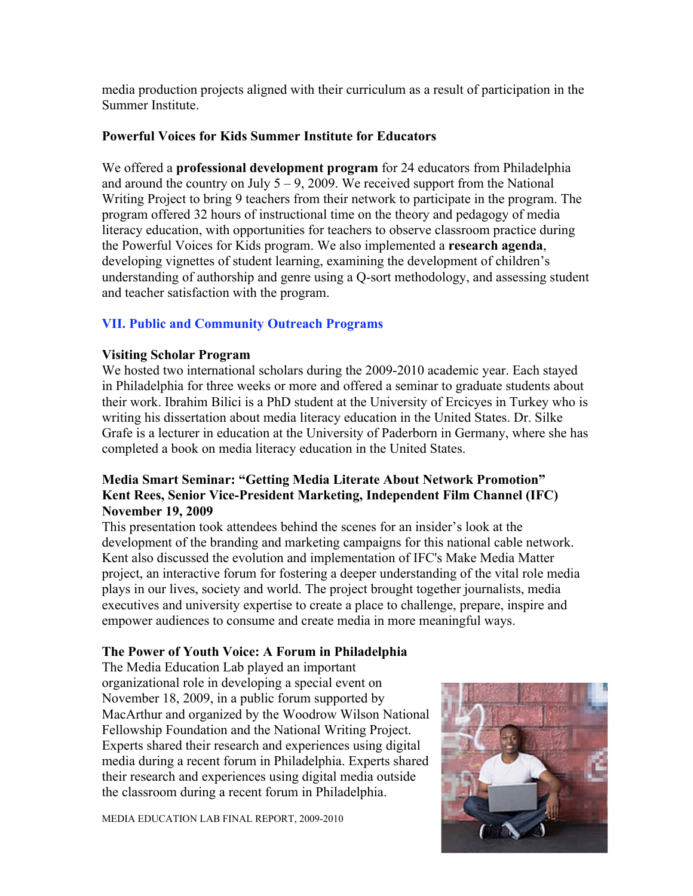media production projects aligned with their curriculum as a result of participation in the Summer Institute.

## **Powerful Voices for Kids Summer Institute for Educators**

We offered a **professional development program** for 24 educators from Philadelphia and around the country on July  $5 - 9$ , 2009. We received support from the National Writing Project to bring 9 teachers from their network to participate in the program. The program offered 32 hours of instructional time on the theory and pedagogy of media literacy education, with opportunities for teachers to observe classroom practice during the Powerful Voices for Kids program. We also implemented a **research agenda**, developing vignettes of student learning, examining the development of children's understanding of authorship and genre using a Q-sort methodology, and assessing student and teacher satisfaction with the program.

# **VII. Public and Community Outreach Programs**

## **Visiting Scholar Program**

We hosted two international scholars during the 2009-2010 academic year. Each stayed in Philadelphia for three weeks or more and offered a seminar to graduate students about their work. Ibrahim Bilici is a PhD student at the University of Ercicyes in Turkey who is writing his dissertation about media literacy education in the United States. Dr. Silke Grafe is a lecturer in education at the University of Paderborn in Germany, where she has completed a book on media literacy education in the United States.

# **Media Smart Seminar: "Getting Media Literate About Network Promotion" Kent Rees, Senior Vice-President Marketing, Independent Film Channel (IFC) November 19, 2009**

This presentation took attendees behind the scenes for an insider's look at the development of the branding and marketing campaigns for this national cable network. Kent also discussed the evolution and implementation of IFC's Make Media Matter project, an interactive forum for fostering a deeper understanding of the vital role media plays in our lives, society and world. The project brought together journalists, media executives and university expertise to create a place to challenge, prepare, inspire and empower audiences to consume and create media in more meaningful ways.

# **The Power of Youth Voice: A Forum in Philadelphia**

The Media Education Lab played an important organizational role in developing a special event on November 18, 2009, in a public forum supported by MacArthur and organized by the Woodrow Wilson National Fellowship Foundation and the National Writing Project. Experts shared their research and experiences using digital media during a recent forum in Philadelphia. Experts shared their research and experiences using digital media outside the classroom during a recent forum in Philadelphia.

MEDIA EDUCATION LAB FINAL REPORT, 2009-2010

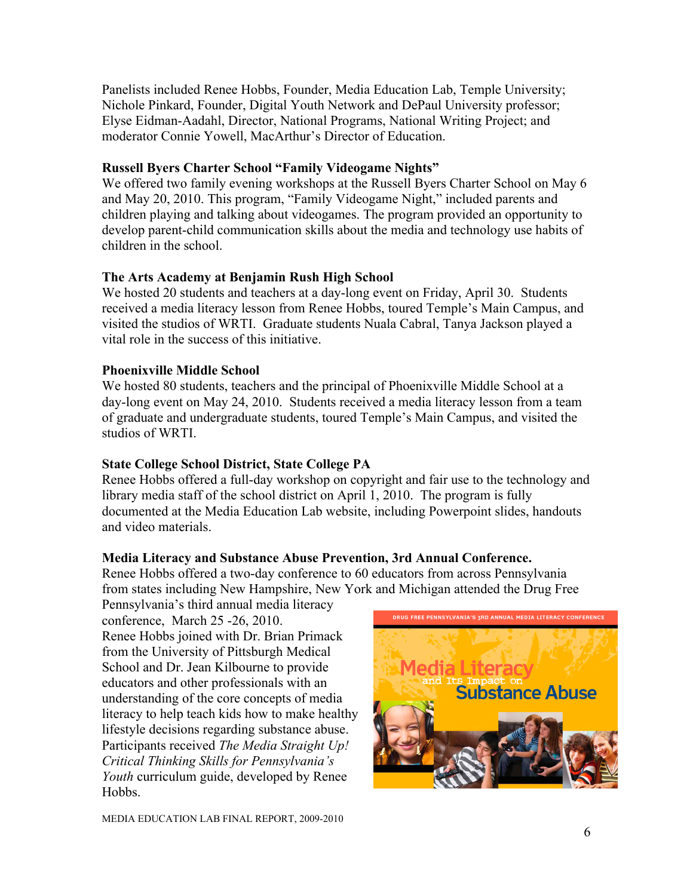Panelists included Renee Hobbs, Founder, Media Education Lab, Temple University; Nichole Pinkard, Founder, Digital Youth Network and DePaul University professor; Elyse Eidman-Aadahl, Director, National Programs, National Writing Project; and moderator Connie Yowell, MacArthur's Director of Education.

# **Russell Byers Charter School "Family Videogame Nights"**

We offered two family evening workshops at the Russell Byers Charter School on May 6 and May 20, 2010. This program, "Family Videogame Night," included parents and children playing and talking about videogames. The program provided an opportunity to develop parent-child communication skills about the media and technology use habits of children in the school.

# **The Arts Academy at Benjamin Rush High School**

We hosted 20 students and teachers at a day-long event on Friday, April 30. Students received a media literacy lesson from Renee Hobbs, toured Temple's Main Campus, and visited the studios of WRTI. Graduate students Nuala Cabral, Tanya Jackson played a vital role in the success of this initiative.

# **Phoenixville Middle School**

We hosted 80 students, teachers and the principal of Phoenixville Middle School at a day-long event on May 24, 2010. Students received a media literacy lesson from a team of graduate and undergraduate students, toured Temple's Main Campus, and visited the studios of WRTI.

# **State College School District, State College PA**

Renee Hobbs offered a full-day workshop on copyright and fair use to the technology and library media staff of the school district on April 1, 2010. The program is fully documented at the Media Education Lab website, including Powerpoint slides, handouts and video materials.

# **Media Literacy and Substance Abuse Prevention, 3rd Annual Conference.**

Renee Hobbs offered a two-day conference to 60 educators from across Pennsylvania from states including New Hampshire, New York and Michigan attended the Drug Free

Pennsylvania's third annual media literacy conference, March 25 -26, 2010. Renee Hobbs joined with Dr. Brian Primack from the University of Pittsburgh Medical School and Dr. Jean Kilbourne to provide educators and other professionals with an understanding of the core concepts of media literacy to help teach kids how to make healthy lifestyle decisions regarding substance abuse. Participants received *The Media Straight Up! Critical Thinking Skills for Pennsylvania's Youth* curriculum guide, developed by Renee **Hobbs** 

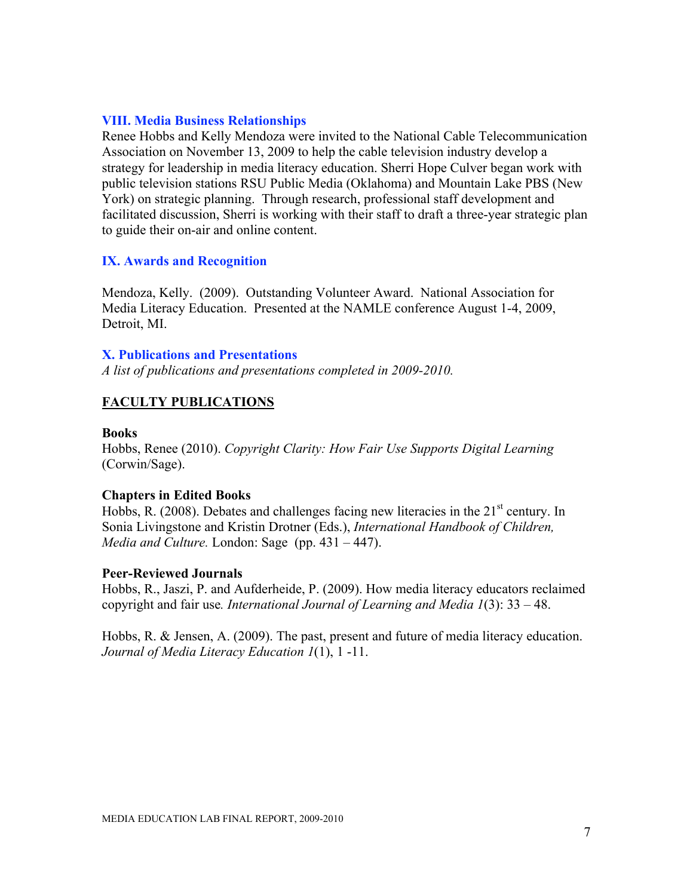## **VIII. Media Business Relationships**

Renee Hobbs and Kelly Mendoza were invited to the National Cable Telecommunication Association on November 13, 2009 to help the cable television industry develop a strategy for leadership in media literacy education. Sherri Hope Culver began work with public television stations RSU Public Media (Oklahoma) and Mountain Lake PBS (New York) on strategic planning. Through research, professional staff development and facilitated discussion, Sherri is working with their staff to draft a three-year strategic plan to guide their on-air and online content.

## **IX. Awards and Recognition**

Mendoza, Kelly. (2009). Outstanding Volunteer Award. National Association for Media Literacy Education. Presented at the NAMLE conference August 1-4, 2009, Detroit, MI.

### **X. Publications and Presentations**

*A list of publications and presentations completed in 2009-2010.*

## **FACULTY PUBLICATIONS**

#### **Books**

Hobbs, Renee (2010). *Copyright Clarity: How Fair Use Supports Digital Learning*  (Corwin/Sage).

#### **Chapters in Edited Books**

Hobbs, R. (2008). Debates and challenges facing new literacies in the  $21<sup>st</sup>$  century. In Sonia Livingstone and Kristin Drotner (Eds.), *International Handbook of Children, Media and Culture.* London: Sage(pp. 431 – 447).

#### **Peer-Reviewed Journals**

Hobbs, R., Jaszi, P. and Aufderheide, P. (2009). How media literacy educators reclaimed copyright and fair use*. International Journal of Learning and Media 1*(3): 33 – 48.

Hobbs, R. & Jensen, A. (2009). The past, present and future of media literacy education. *Journal of Media Literacy Education 1*(1), 1 -11.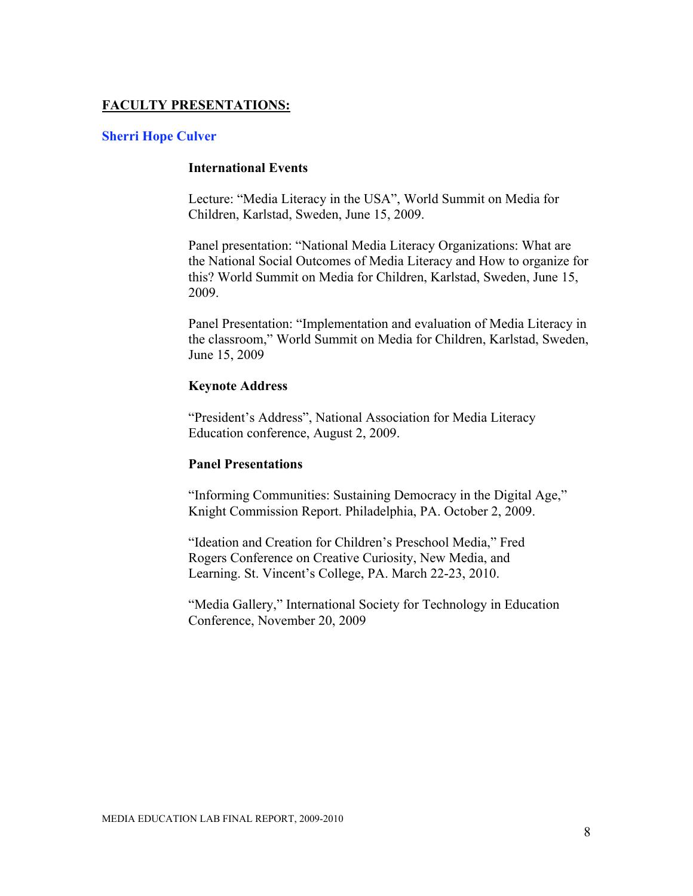## **FACULTY PRESENTATIONS:**

### **Sherri Hope Culver**

## **International Events**

Lecture: "Media Literacy in the USA", World Summit on Media for Children, Karlstad, Sweden, June 15, 2009.

Panel presentation: "National Media Literacy Organizations: What are the National Social Outcomes of Media Literacy and How to organize for this? World Summit on Media for Children, Karlstad, Sweden, June 15, 2009.

Panel Presentation: "Implementation and evaluation of Media Literacy in the classroom," World Summit on Media for Children, Karlstad, Sweden, June 15, 2009

### **Keynote Address**

"President's Address", National Association for Media Literacy Education conference, August 2, 2009.

### **Panel Presentations**

"Informing Communities: Sustaining Democracy in the Digital Age," Knight Commission Report. Philadelphia, PA. October 2, 2009.

"Ideation and Creation for Children's Preschool Media," Fred Rogers Conference on Creative Curiosity, New Media, and Learning. St. Vincent's College, PA. March 22-23, 2010.

"Media Gallery," International Society for Technology in Education Conference, November 20, 2009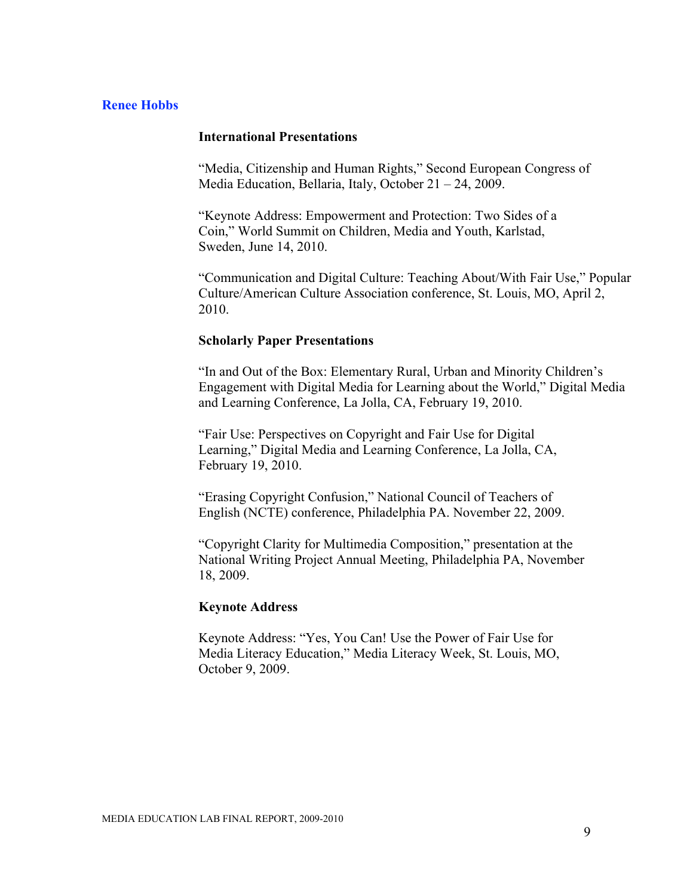## **Renee Hobbs**

### **International Presentations**

"Media, Citizenship and Human Rights," Second European Congress of Media Education, Bellaria, Italy, October 21 – 24, 2009.

"Keynote Address: Empowerment and Protection: Two Sides of a Coin," World Summit on Children, Media and Youth, Karlstad, Sweden, June 14, 2010.

"Communication and Digital Culture: Teaching About/With Fair Use," Popular Culture/American Culture Association conference, St. Louis, MO, April 2, 2010.

#### **Scholarly Paper Presentations**

"In and Out of the Box: Elementary Rural, Urban and Minority Children's Engagement with Digital Media for Learning about the World," Digital Media and Learning Conference, La Jolla, CA, February 19, 2010.

"Fair Use: Perspectives on Copyright and Fair Use for Digital Learning," Digital Media and Learning Conference, La Jolla, CA, February 19, 2010.

"Erasing Copyright Confusion," National Council of Teachers of English (NCTE) conference, Philadelphia PA. November 22, 2009.

"Copyright Clarity for Multimedia Composition," presentation at the National Writing Project Annual Meeting, Philadelphia PA, November 18, 2009.

### **Keynote Address**

Keynote Address: "Yes, You Can! Use the Power of Fair Use for Media Literacy Education," Media Literacy Week, St. Louis, MO, October 9, 2009.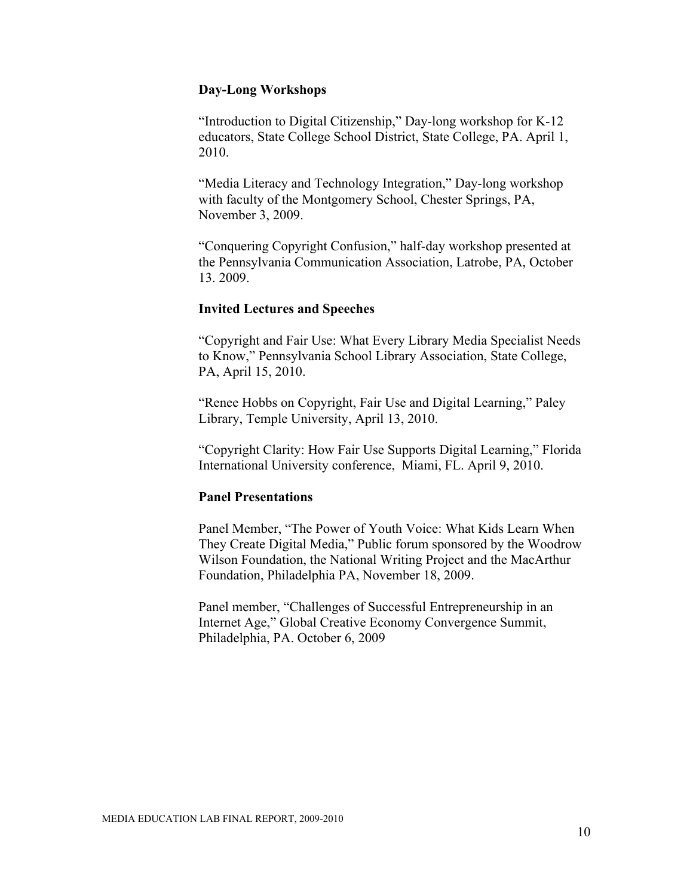## **Day-Long Workshops**

"Introduction to Digital Citizenship," Day-long workshop for K-12 educators, State College School District, State College, PA. April 1, 2010.

"Media Literacy and Technology Integration," Day-long workshop with faculty of the Montgomery School, Chester Springs, PA, November 3, 2009.

"Conquering Copyright Confusion," half-day workshop presented at the Pennsylvania Communication Association, Latrobe, PA, October 13. 2009.

#### **Invited Lectures and Speeches**

"Copyright and Fair Use: What Every Library Media Specialist Needs to Know," Pennsylvania School Library Association, State College, PA, April 15, 2010.

"Renee Hobbs on Copyright, Fair Use and Digital Learning," Paley Library, Temple University, April 13, 2010.

"Copyright Clarity: How Fair Use Supports Digital Learning," Florida International University conference, Miami, FL. April 9, 2010.

### **Panel Presentations**

Panel Member, "The Power of Youth Voice: What Kids Learn When They Create Digital Media," Public forum sponsored by the Woodrow Wilson Foundation, the National Writing Project and the MacArthur Foundation, Philadelphia PA, November 18, 2009.

Panel member, "Challenges of Successful Entrepreneurship in an Internet Age," Global Creative Economy Convergence Summit, Philadelphia, PA. October 6, 2009